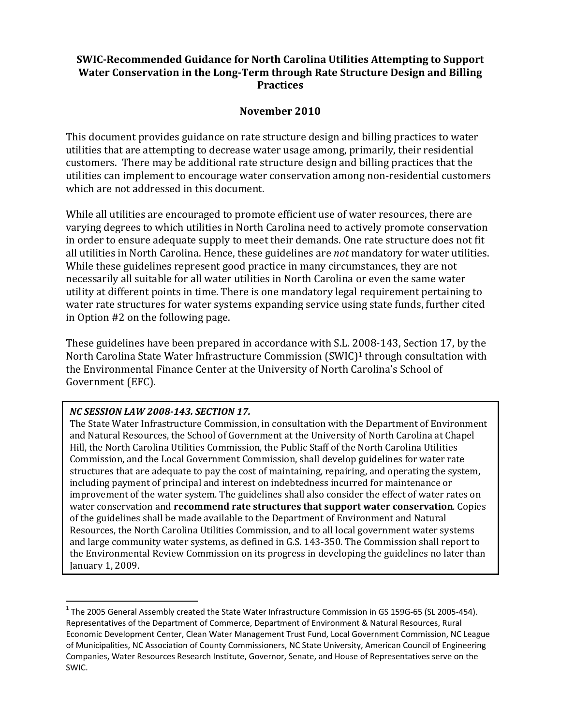# **SWIC‐Recommended Guidance for North Carolina Utilities Attempting to Support Water Conservation in the Long‐Term through Rate Structure Design and Billing Practices**

#### **November 2010**

This document provides guidance on rate structure design and billing practices to water utilities that are attempting to decrease water usage among, primarily, their residential customers. There may be additional rate structure design and billing practices that the utilities can implement to encourage water conservation among non-residential customers which are not addressed in this document.

While all utilities are encouraged to promote efficient use of water resources, there are varying degrees to which utilities in North Carolina need to actively promote conservation in order to ensure adequate supply to meet their demands. One rate structure does not fit all utilities in North Carolina. Hence, these guidelines are *not* mandatory for water utilities. While these guidelines represent good practice in many circumstances, they are not necessarily all suitable for all water utilities in North Carolina or even the same water utility at different points in time. There is one mandatory legal requirement pertaining to water rate structures for water systems expanding service using state funds, further cited in Option  $#2$  on the following page.

These guidelines have been prepared in accordance with S.L. 2008-143, Section 17, by the North Carolina State Water Infrastructure Commission  $(SWIC)^1$  through consultation with the Environmental Finance Center at the University of North Carolina's School of Government (EFC).

#### *NC SESSION LAW 2008‐143. SECTION 17.*

The State Water Infrastructure Commission, in consultation with the Department of Environment and Natural Resources, the School of Government at the University of North Carolina at Chapel Hill, the North Carolina Utilities Commission, the Public Staff of the North Carolina Utilities Commission, and the Local Government Commission, shall develop guidelines for water rate structures that are adequate to pay the cost of maintaining, repairing, and operating the system, including payment of principal and interest on indebtedness incurred for maintenance or improvement of the water system. The guidelines shall also consider the effect of water rates on water conservation and **recommend rate structures that support water conservation**. Copies of the guidelines shall be made available to the Department of Environment and Natural Resources, the North Carolina Utilities Commission, and to all local government water systems and large community water systems, as defined in G.S. 143-350. The Commission shall report to the Environmental Review Commission on its progress in developing the guidelines no later than January 1, 2009.

<sup>&</sup>lt;sup>1</sup> The 2005 General Assembly created the State Water Infrastructure Commission in GS 159G-65 (SL 2005-454). Representatives of the Department of Commerce, Department of Environment & Natural Resources, Rural Economic Development Center, Clean Water Management Trust Fund, Local Government Commission, NC League of Municipalities, NC Association of County Commissioners, NC State University, American Council of Engineering Companies, Water Resources Research Institute, Governor, Senate, and House of Representatives serve on the SWIC.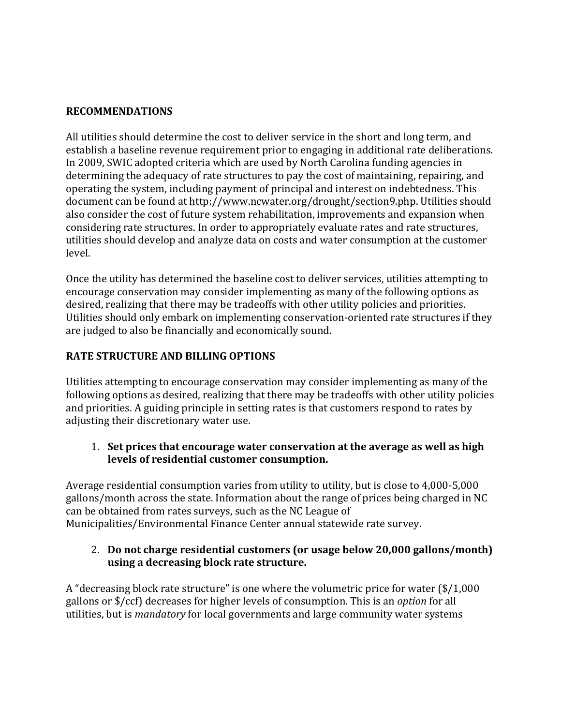#### **RECOMMENDATIONS**

All utilities should determine the cost to deliver service in the short and long term, and establish a baseline revenue requirement prior to engaging in additional rate deliberations. In 2009, SWIC adopted criteria which are used by North Carolina funding agencies in determining the adequacy of rate structures to pay the cost of maintaining, repairing, and operating the system, including payment of principal and interest on indebtedness. This document can be found at http://www.ncwater.org/drought/section9.php. Utilities should also consider the cost of future system rehabilitation, improvements and expansion when considering rate structures. In order to appropriately evaluate rates and rate structures, utilities should develop and analyze data on costs and water consumption at the customer level. 

Once the utility has determined the baseline cost to deliver services, utilities attempting to encourage conservation may consider implementing as many of the following options as desired, realizing that there may be tradeoffs with other utility policies and priorities. Utilities should only embark on implementing conservation-oriented rate structures if they are judged to also be financially and economically sound.

# **RATE STRUCTURE AND BILLING OPTIONS**

Utilities attempting to encourage conservation may consider implementing as many of the following options as desired, realizing that there may be tradeoffs with other utility policies and priorities. A guiding principle in setting rates is that customers respond to rates by adjusting their discretionary water use.

#### 1. **Set prices that encourage water conservation at the average as well as high levels of residential customer consumption.**

Average residential consumption varies from utility to utility, but is close to  $4,000-5,000$ gallons/month across the state. Information about the range of prices being charged in NC can be obtained from rates surveys, such as the NC League of Municipalities/Environmental Finance Center annual statewide rate survey.

#### 2. **Do not charge residential customers (or usage below 20,000 gallons/month) using a decreasing block rate structure.**

A "decreasing block rate structure" is one where the volumetric price for water  $(\frac{1}{0.000} + \frac{1}{1.0000})$ gallons or \$/ccf) decreases for higher levels of consumption. This is an *option* for all utilities, but is *mandatory* for local governments and large community water systems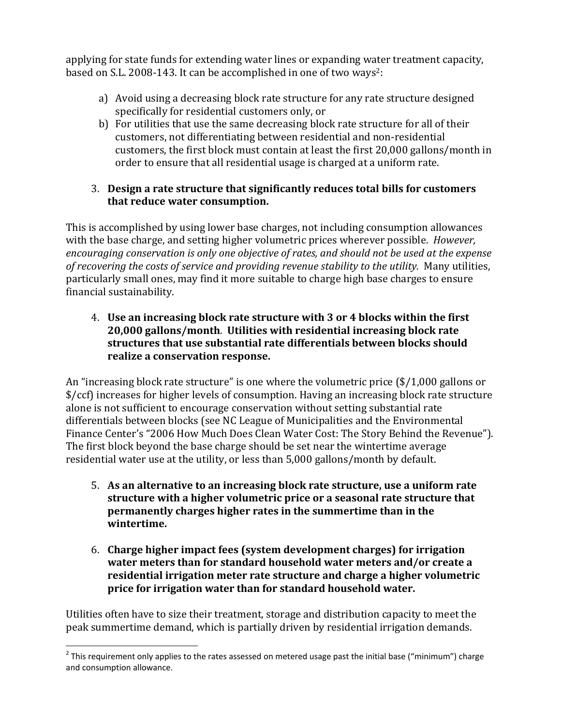applying for state funds for extending water lines or expanding water treatment capacity, based on S.L. 2008-143. It can be accomplished in one of two ways<sup>2</sup>:

- a) Avoid using a decreasing block rate structure for any rate structure designed specifically for residential customers only, or
- b) For utilities that use the same decreasing block rate structure for all of their customers, not differentiating between residential and non-residential customers, the first block must contain at least the first 20,000 gallons/month in order to ensure that all residential usage is charged at a uniform rate.

### 3. **Design a rate structure that significantly reduces total bills for customers that reduce water consumption.**

This is accomplished by using lower base charges, not including consumption allowances with the base charge, and setting higher volumetric prices wherever possible. *However*, *encouraging conservation is only one objective of rates, and should not be used at the expense of recovering the costs of service and providing revenue stability to the utility.* Many utilities, particularly small ones, may find it more suitable to charge high base charges to ensure financial sustainability.

4. **Use an increasing block rate structure with 3 or 4 blocks within the first 20,000 gallons/month**. **Utilities with residential increasing block rate structures that use substantial rate differentials between blocks should realize a conservation response.**

An "increasing block rate structure" is one where the volumetric price  $(\frac{1}{0.000}$  gallons or \$/ccf) increases for higher levels of consumption. Having an increasing block rate structure alone is not sufficient to encourage conservation without setting substantial rate differentials between blocks (see NC League of Municipalities and the Environmental Finance Center's "2006 How Much Does Clean Water Cost: The Story Behind the Revenue"). The first block beyond the base charge should be set near the wintertime average residential water use at the utility, or less than 5,000 gallons/month by default.

- 5. **As an alternative to an increasing block rate structure, use a uniform rate structure with a higher volumetric price or a seasonal rate structure that permanently charges higher rates in the summertime than in the**  $$
- 6. **Charge higher impact fees (system development charges) for irrigation water meters than for standard household water meters and/or create a residential irrigation meter rate structure and charge a higher volumetric price for irrigation water than for standard household water.**

Utilities often have to size their treatment, storage and distribution capacity to meet the peak summertime demand, which is partially driven by residential irrigation demands.

 $2$  This requirement only applies to the rates assessed on metered usage past the initial base ("minimum") charge and consumption allowance.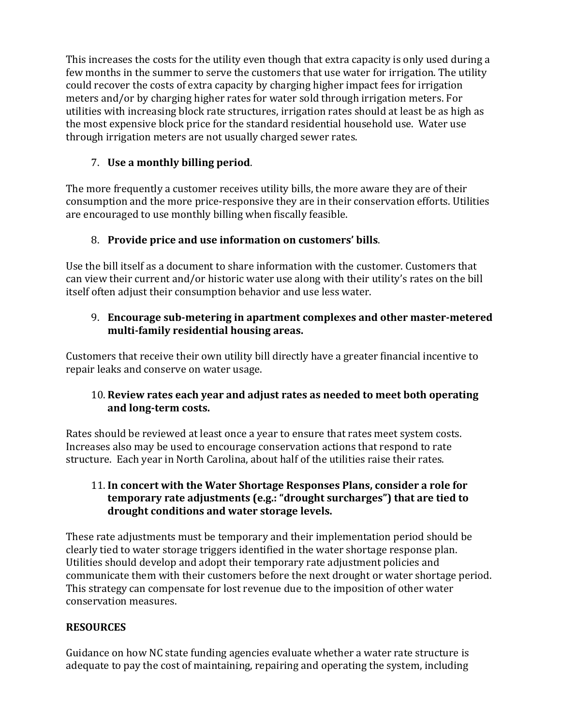This increases the costs for the utility even though that extra capacity is only used during a few months in the summer to serve the customers that use water for irrigation. The utility could recover the costs of extra capacity by charging higher impact fees for irrigation meters and/or by charging higher rates for water sold through irrigation meters. For utilities with increasing block rate structures, irrigation rates should at least be as high as the most expensive block price for the standard residential household use. Water use through irrigation meters are not usually charged sewer rates.

# 7. **Use a monthly billing period**.

The more frequently a customer receives utility bills, the more aware they are of their consumption and the more price-responsive they are in their conservation efforts. Utilities are encouraged to use monthly billing when fiscally feasible.

# 8. **Provide price and use information on customers' bills**.

Use the bill itself as a document to share information with the customer. Customers that can view their current and/or historic water use along with their utility's rates on the bill itself often adjust their consumption behavior and use less water.

## 9. **Encourage sub‐metering in apartment complexes and other master‐metered multi‐family residential housing areas.**

Customers that receive their own utility bill directly have a greater financial incentive to repair leaks and conserve on water usage.

# 10. **Review rates each year and adjust rates as needed to meet both operating and long‐term costs.**

Rates should be reviewed at least once a year to ensure that rates meet system costs. Increases also may be used to encourage conservation actions that respond to rate structure. Each year in North Carolina, about half of the utilities raise their rates.

# 11. **In concert with the Water Shortage Responses Plans, consider a role for temporary rate adjustments (e.g.: "drought surcharges") that are tied to drought conditions and water storage levels.**

These rate adjustments must be temporary and their implementation period should be clearly tied to water storage triggers identified in the water shortage response plan. Utilities should develop and adopt their temporary rate adjustment policies and communicate them with their customers before the next drought or water shortage period. This strategy can compensate for lost revenue due to the imposition of other water conservation measures. 

# **RESOURCES**

Guidance on how NC state funding agencies evaluate whether a water rate structure is adequate to pay the cost of maintaining, repairing and operating the system, including